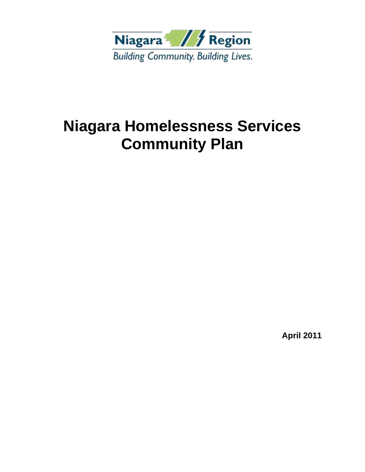

**April 2011**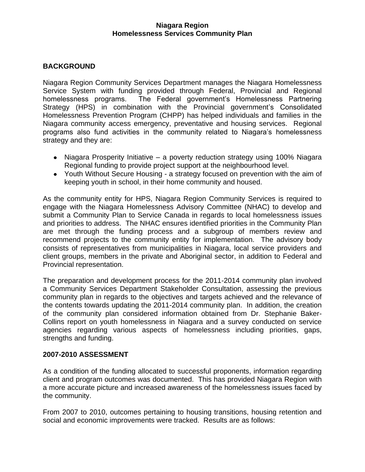# **BACKGROUND**

Niagara Region Community Services Department manages the Niagara Homelessness Service System with funding provided through Federal, Provincial and Regional homelessness programs. The Federal government's Homelessness Partnering Strategy (HPS) in combination with the Provincial government's Consolidated Homelessness Prevention Program (CHPP) has helped individuals and families in the Niagara community access emergency, preventative and housing services. Regional programs also fund activities in the community related to Niagara's homelessness strategy and they are:

- Niagara Prosperity Initiative a poverty reduction strategy using 100% Niagara Regional funding to provide project support at the neighbourhood level.
- Youth Without Secure Housing a strategy focused on prevention with the aim of keeping youth in school, in their home community and housed.

As the community entity for HPS, Niagara Region Community Services is required to engage with the Niagara Homelessness Advisory Committee (NHAC) to develop and submit a Community Plan to Service Canada in regards to local homelessness issues and priorities to address. The NHAC ensures identified priorities in the Community Plan are met through the funding process and a subgroup of members review and recommend projects to the community entity for implementation. The advisory body consists of representatives from municipalities in Niagara, local service providers and client groups, members in the private and Aboriginal sector, in addition to Federal and Provincial representation.

The preparation and development process for the 2011-2014 community plan involved a Community Services Department Stakeholder Consultation, assessing the previous community plan in regards to the objectives and targets achieved and the relevance of the contents towards updating the 2011-2014 community plan. In addition, the creation of the community plan considered information obtained from Dr. Stephanie Baker-Collins report on youth homelessness in Niagara and a survey conducted on service agencies regarding various aspects of homelessness including priorities, gaps, strengths and funding.

# **2007-2010 ASSESSMENT**

As a condition of the funding allocated to successful proponents, information regarding client and program outcomes was documented. This has provided Niagara Region with a more accurate picture and increased awareness of the homelessness issues faced by the community.

From 2007 to 2010, outcomes pertaining to housing transitions, housing retention and social and economic improvements were tracked. Results are as follows: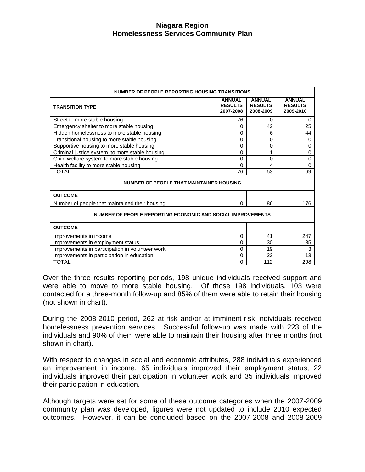| NUMBER OF PEOPLE REPORTING HOUSING TRANSITIONS              |                                              |                                              |                                              |  |
|-------------------------------------------------------------|----------------------------------------------|----------------------------------------------|----------------------------------------------|--|
| <b>TRANSITION TYPE</b>                                      | <b>ANNUAL</b><br><b>RESULTS</b><br>2007-2008 | <b>ANNUAL</b><br><b>RESULTS</b><br>2008-2009 | <b>ANNUAL</b><br><b>RESULTS</b><br>2009-2010 |  |
| Street to more stable housing                               | 76                                           | 0                                            | 0                                            |  |
| Emergency shelter to more stable housing                    | 0                                            | 42                                           | 25                                           |  |
| Hidden homelessness to more stable housing                  | 0                                            | 6                                            | 44                                           |  |
| Transitional housing to more stable housing                 | 0                                            | 0                                            | 0                                            |  |
| Supportive housing to more stable housing                   | $\Omega$                                     | 0                                            | 0                                            |  |
| Criminal justice system to more stable housing              | 0                                            | 1                                            | $\mathbf 0$                                  |  |
| Child welfare system to more stable housing                 | 0                                            | 0                                            | 0                                            |  |
| Health facility to more stable housing                      | 0                                            | 4                                            | 0                                            |  |
| <b>TOTAL</b>                                                | 76                                           | 53                                           | 69                                           |  |
| <b>NUMBER OF PEOPLE THAT MAINTAINED HOUSING</b>             |                                              |                                              |                                              |  |
| <b>OUTCOME</b>                                              |                                              |                                              |                                              |  |
| Number of people that maintained their housing              | $\Omega$                                     | 86                                           | 176                                          |  |
| NUMBER OF PEOPLE REPORTING ECONOMIC AND SOCIAL IMPROVEMENTS |                                              |                                              |                                              |  |
| <b>OUTCOME</b>                                              |                                              |                                              |                                              |  |
| Improvements in income                                      | $\mathbf 0$                                  | 41                                           | 247                                          |  |
| Improvements in employment status                           | 0                                            | 30                                           | 35                                           |  |
| Improvements in participation in volunteer work             | 0                                            | 19                                           | 3                                            |  |
| Improvements in participation in education                  | 0                                            | 22                                           | 13                                           |  |
| <b>TOTAL</b>                                                | 0                                            | 112                                          | 298                                          |  |

Over the three results reporting periods, 198 unique individuals received support and were able to move to more stable housing. Of those 198 individuals, 103 were contacted for a three-month follow-up and 85% of them were able to retain their housing (not shown in chart).

During the 2008-2010 period, 262 at-risk and/or at-imminent-risk individuals received homelessness prevention services. Successful follow-up was made with 223 of the individuals and 90% of them were able to maintain their housing after three months (not shown in chart).

With respect to changes in social and economic attributes, 288 individuals experienced an improvement in income, 65 individuals improved their employment status, 22 individuals improved their participation in volunteer work and 35 individuals improved their participation in education.

Although targets were set for some of these outcome categories when the 2007-2009 community plan was developed, figures were not updated to include 2010 expected outcomes. However, it can be concluded based on the 2007-2008 and 2008-2009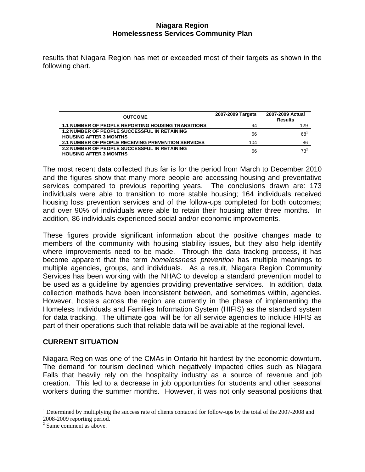results that Niagara Region has met or exceeded most of their targets as shown in the following chart.

| <b>OUTCOME</b>                                                                       | 2007-2009 Targets | 2007-2009 Actual<br><b>Results</b> |
|--------------------------------------------------------------------------------------|-------------------|------------------------------------|
| <b>1.1 NUMBER OF PEOPLE REPORTING HOUSING TRANSITIONS</b>                            | 94                | 129                                |
| <b>1.2 NUMBER OF PEOPLE SUCCESSFUL IN RETAINING</b><br><b>HOUSING AFTER 3 MONTHS</b> | 66                | 68                                 |
| 2.1 NUMBER OF PEOPLE RECEIVING PREVENTION SERVICES                                   | 104               | 86                                 |
| <b>2.2 NUMBER OF PEOPLE SUCCESSFUL IN RETAINING</b><br><b>HOUSING AFTER 3 MONTHS</b> | 66                | $73^2$                             |

The most recent data collected thus far is for the period from March to December 2010 and the figures show that many more people are accessing housing and preventative services compared to previous reporting years. The conclusions drawn are: 173 individuals were able to transition to more stable housing; 164 individuals received housing loss prevention services and of the follow-ups completed for both outcomes; and over 90% of individuals were able to retain their housing after three months. In addition, 86 individuals experienced social and/or economic improvements.

These figures provide significant information about the positive changes made to members of the community with housing stability issues, but they also help identify where improvements need to be made. Through the data tracking process, it has become apparent that the term *homelessness prevention* has multiple meanings to multiple agencies, groups, and individuals. As a result, Niagara Region Community Services has been working with the NHAC to develop a standard prevention model to be used as a guideline by agencies providing preventative services. In addition, data collection methods have been inconsistent between, and sometimes within, agencies. However, hostels across the region are currently in the phase of implementing the Homeless Individuals and Families Information System (HIFIS) as the standard system for data tracking. The ultimate goal will be for all service agencies to include HIFIS as part of their operations such that reliable data will be available at the regional level.

# **CURRENT SITUATION**

Niagara Region was one of the CMAs in Ontario hit hardest by the economic downturn. The demand for tourism declined which negatively impacted cities such as Niagara Falls that heavily rely on the hospitality industry as a source of revenue and job creation. This led to a decrease in job opportunities for students and other seasonal workers during the summer months. However, it was not only seasonal positions that

i<br>L

<sup>&</sup>lt;sup>1</sup> Determined by multiplying the success rate of clients contacted for follow-ups by the total of the 2007-2008 and

<sup>2008-2009</sup> reporting period. 2 Same comment as above.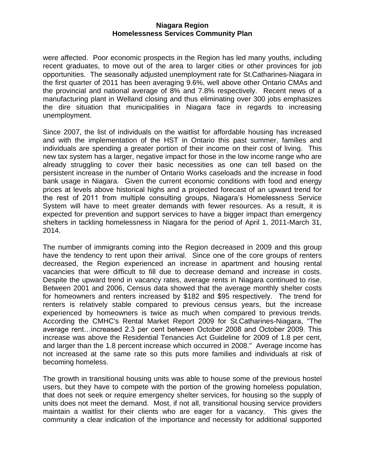were affected. Poor economic prospects in the Region has led many youths, including recent graduates, to move out of the area to larger cities or other provinces for job opportunities. The seasonally adjusted unemployment rate for St.Catharines-Niagara in the first quarter of 2011 has been averaging 9.6%, well above other Ontario CMAs and the provincial and national average of 8% and 7.8% respectively. Recent news of a manufacturing plant in Welland closing and thus eliminating over 300 jobs emphasizes the dire situation that municipalities in Niagara face in regards to increasing unemployment.

Since 2007, the list of individuals on the waitlist for affordable housing has increased and with the implementation of the HST in Ontario this past summer, families and individuals are spending a greater portion of their income on their cost of living. This new tax system has a larger, negative impact for those in the low income range who are already struggling to cover their basic necessities as one can tell based on the persistent increase in the number of Ontario Works caseloads and the increase in food bank usage in Niagara. Given the current economic conditions with food and energy prices at levels above historical highs and a projected forecast of an upward trend for the rest of 2011 from multiple consulting groups, Niagara's Homelessness Service System will have to meet greater demands with fewer resources. As a result, it is expected for prevention and support services to have a bigger impact than emergency shelters in tackling homelessness in Niagara for the period of April 1, 2011-March 31, 2014.

The number of immigrants coming into the Region decreased in 2009 and this group have the tendency to rent upon their arrival. Since one of the core groups of renters decreased, the Region experienced an increase in apartment and housing rental vacancies that were difficult to fill due to decrease demand and increase in costs. Despite the upward trend in vacancy rates, average rents in Niagara continued to rise. Between 2001 and 2006, Census data showed that the average monthly shelter costs for homeowners and renters increased by \$182 and \$95 respectively. The trend for renters is relatively stable compared to previous census years, but the increase experienced by homeowners is twice as much when compared to previous trends. According the CMHC's Rental Market Report 2009 for St.Catharines-Niagara, "The average rent…increased 2.3 per cent between October 2008 and October 2009. This increase was above the Residential Tenancies Act Guideline for 2009 of 1.8 per cent, and larger than the 1.8 percent increase which occurred in 2008." Average income has not increased at the same rate so this puts more families and individuals at risk of becoming homeless.

The growth in transitional housing units was able to house some of the previous hostel users, but they have to compete with the portion of the growing homeless population, that does not seek or require emergency shelter services, for housing so the supply of units does not meet the demand. Most, if not all, transitional housing service providers maintain a waitlist for their clients who are eager for a vacancy. This gives the community a clear indication of the importance and necessity for additional supported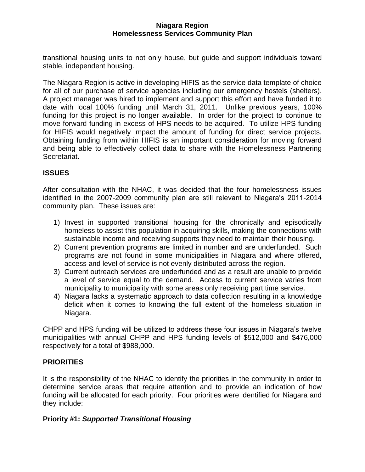transitional housing units to not only house, but guide and support individuals toward stable, independent housing.

The Niagara Region is active in developing HIFIS as the service data template of choice for all of our purchase of service agencies including our emergency hostels (shelters). A project manager was hired to implement and support this effort and have funded it to date with local 100% funding until March 31, 2011. Unlike previous years, 100% funding for this project is no longer available. In order for the project to continue to move forward funding in excess of HPS needs to be acquired. To utilize HPS funding for HIFIS would negatively impact the amount of funding for direct service projects. Obtaining funding from within HIFIS is an important consideration for moving forward and being able to effectively collect data to share with the Homelessness Partnering Secretariat.

# **ISSUES**

After consultation with the NHAC, it was decided that the four homelessness issues identified in the 2007-2009 community plan are still relevant to Niagara's 2011-2014 community plan. These issues are:

- 1) Invest in supported transitional housing for the chronically and episodically homeless to assist this population in acquiring skills, making the connections with sustainable income and receiving supports they need to maintain their housing.
- 2) Current prevention programs are limited in number and are underfunded. Such programs are not found in some municipalities in Niagara and where offered, access and level of service is not evenly distributed across the region.
- 3) Current outreach services are underfunded and as a result are unable to provide a level of service equal to the demand. Access to current service varies from municipality to municipality with some areas only receiving part time service.
- 4) Niagara lacks a systematic approach to data collection resulting in a knowledge deficit when it comes to knowing the full extent of the homeless situation in Niagara.

CHPP and HPS funding will be utilized to address these four issues in Niagara's twelve municipalities with annual CHPP and HPS funding levels of \$512,000 and \$476,000 respectively for a total of \$988,000.

# **PRIORITIES**

It is the responsibility of the NHAC to identify the priorities in the community in order to determine service areas that require attention and to provide an indication of how funding will be allocated for each priority. Four priorities were identified for Niagara and they include:

# **Priority #1:** *Supported Transitional Housing*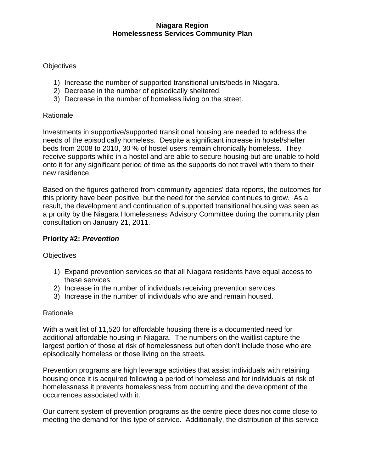# **Objectives**

- 1) Increase the number of supported transitional units/beds in Niagara.
- 2) Decrease in the number of episodically sheltered.
- 3) Decrease in the number of homeless living on the street.

# Rationale

Investments in supportive/supported transitional housing are needed to address the needs of the episodically homeless. Despite a significant increase in hostel/shelter beds from 2008 to 2010, 30 % of hostel users remain chronically homeless. They receive supports while in a hostel and are able to secure housing but are unable to hold onto it for any significant period of time as the supports do not travel with them to their new residence.

Based on the figures gathered from community agencies' data reports, the outcomes for this priority have been positive, but the need for the service continues to grow. As a result, the development and continuation of supported transitional housing was seen as a priority by the Niagara Homelessness Advisory Committee during the community plan consultation on January 21, 2011.

# **Priority #2:** *Prevention*

# **Objectives**

- 1) Expand prevention services so that all Niagara residents have equal access to these services.
- 2) Increase in the number of individuals receiving prevention services.
- 3) Increase in the number of individuals who are and remain housed.

# Rationale

With a wait list of 11,520 for affordable housing there is a documented need for additional affordable housing in Niagara. The numbers on the waitlist capture the largest portion of those at risk of homelessness but often don't include those who are episodically homeless or those living on the streets.

Prevention programs are high leverage activities that assist individuals with retaining housing once it is acquired following a period of homeless and for individuals at risk of homelessness it prevents homelessness from occurring and the development of the occurrences associated with it.

Our current system of prevention programs as the centre piece does not come close to meeting the demand for this type of service. Additionally, the distribution of this service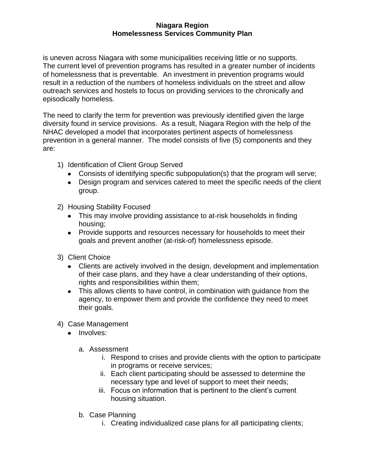is uneven across Niagara with some municipalities receiving little or no supports. The current level of prevention programs has resulted in a greater number of incidents of homelessness that is preventable. An investment in prevention programs would result in a reduction of the numbers of homeless individuals on the street and allow outreach services and hostels to focus on providing services to the chronically and episodically homeless.

The need to clarify the term for prevention was previously identified given the large diversity found in service provisions. As a result, Niagara Region with the help of the NHAC developed a model that incorporates pertinent aspects of homelessness prevention in a general manner. The model consists of five (5) components and they are:

- 1) Identification of Client Group Served
	- Consists of identifying specific subpopulation(s) that the program will serve;
	- Design program and services catered to meet the specific needs of the client group.
- 2) Housing Stability Focused
	- This may involve providing assistance to at-risk households in finding housing;
	- Provide supports and resources necessary for households to meet their goals and prevent another (at-risk-of) homelessness episode.
- 3) Client Choice
	- Clients are actively involved in the design, development and implementation of their case plans, and they have a clear understanding of their options, rights and responsibilities within them;
	- This allows clients to have control, in combination with guidance from the agency, to empower them and provide the confidence they need to meet their goals.
- 4) Case Management
	- Involves:
		- a. Assessment
			- i. Respond to crises and provide clients with the option to participate in programs or receive services;
			- ii. Each client participating should be assessed to determine the necessary type and level of support to meet their needs;
			- iii. Focus on information that is pertinent to the client's current housing situation.
		- b. Case Planning
			- i. Creating individualized case plans for all participating clients;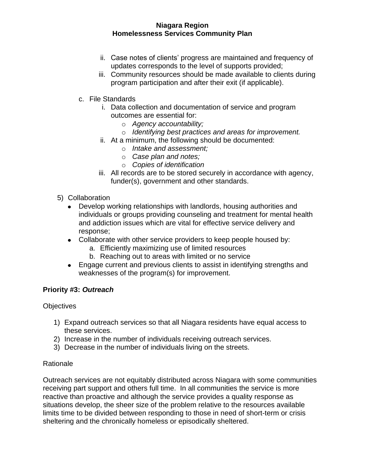- ii. Case notes of clients' progress are maintained and frequency of updates corresponds to the level of supports provided;
- iii. Community resources should be made available to clients during program participation and after their exit (if applicable).
- c. File Standards
	- i. Data collection and documentation of service and program outcomes are essential for:
		- o *Agency accountability;*
		- o *Identifying best practices and areas for improvement.*
	- ii. At a minimum, the following should be documented:
		- o *Intake and assessment;*
		- o *Case plan and notes;*
		- o *Copies of identification*
	- iii. All records are to be stored securely in accordance with agency, funder(s), government and other standards.
- 5) Collaboration
	- Develop working relationships with landlords, housing authorities and  $\bullet$ individuals or groups providing counseling and treatment for mental health and addiction issues which are vital for effective service delivery and response;
	- Collaborate with other service providers to keep people housed by:
		- a. Efficiently maximizing use of limited resources
		- b. Reaching out to areas with limited or no service
	- Engage current and previous clients to assist in identifying strengths and weaknesses of the program(s) for improvement.

# **Priority #3:** *Outreach*

# **Objectives**

- 1) Expand outreach services so that all Niagara residents have equal access to these services.
- 2) Increase in the number of individuals receiving outreach services.
- 3) Decrease in the number of individuals living on the streets.

# **Rationale**

Outreach services are not equitably distributed across Niagara with some communities receiving part support and others full time. In all communities the service is more reactive than proactive and although the service provides a quality response as situations develop, the sheer size of the problem relative to the resources available limits time to be divided between responding to those in need of short-term or crisis sheltering and the chronically homeless or episodically sheltered.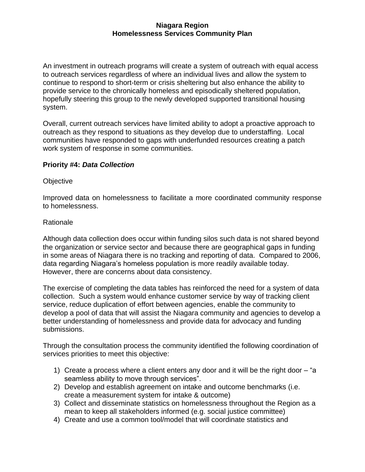An investment in outreach programs will create a system of outreach with equal access to outreach services regardless of where an individual lives and allow the system to continue to respond to short-term or crisis sheltering but also enhance the ability to provide service to the chronically homeless and episodically sheltered population, hopefully steering this group to the newly developed supported transitional housing system.

Overall, current outreach services have limited ability to adopt a proactive approach to outreach as they respond to situations as they develop due to understaffing. Local communities have responded to gaps with underfunded resources creating a patch work system of response in some communities.

# **Priority #4:** *Data Collection*

# **Objective**

Improved data on homelessness to facilitate a more coordinated community response to homelessness.

# Rationale

Although data collection does occur within funding silos such data is not shared beyond the organization or service sector and because there are geographical gaps in funding in some areas of Niagara there is no tracking and reporting of data. Compared to 2006, data regarding Niagara's homeless population is more readily available today. However, there are concerns about data consistency.

The exercise of completing the data tables has reinforced the need for a system of data collection. Such a system would enhance customer service by way of tracking client service, reduce duplication of effort between agencies, enable the community to develop a pool of data that will assist the Niagara community and agencies to develop a better understanding of homelessness and provide data for advocacy and funding submissions.

Through the consultation process the community identified the following coordination of services priorities to meet this objective:

- 1) Create a process where a client enters any door and it will be the right door "a seamless ability to move through services".
- 2) Develop and establish agreement on intake and outcome benchmarks (i.e. create a measurement system for intake & outcome)
- 3) Collect and disseminate statistics on homelessness throughout the Region as a mean to keep all stakeholders informed (e.g. social justice committee)
- 4) Create and use a common tool/model that will coordinate statistics and